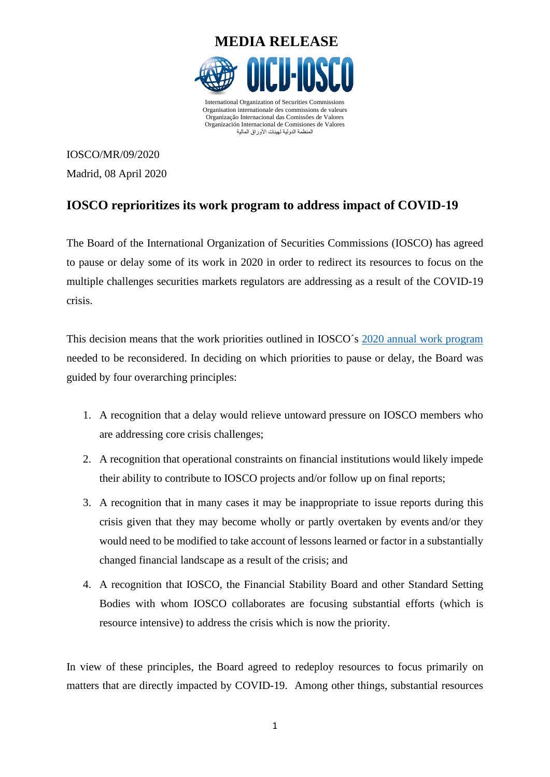

IOSCO/MR/09/2020 Madrid, 08 April 2020

## **IOSCO reprioritizes its work program to address impact of COVID-19**

The Board of the International Organization of Securities Commissions (IOSCO) has agreed to pause or delay some of its work in 2020 in order to redirect its resources to focus on the multiple challenges securities markets regulators are addressing as a result of the COVID-19 crisis.

This decision means that the work priorities outlined in IOSCO´s [2020 annual work program](https://www.iosco.org/library/pubdocs/pdf/IOSCOPD648.pdf) needed to be reconsidered. In deciding on which priorities to pause or delay, the Board was guided by four overarching principles:

- 1. A recognition that a delay would relieve untoward pressure on IOSCO members who are addressing core crisis challenges;
- 2. A recognition that operational constraints on financial institutions would likely impede their ability to contribute to IOSCO projects and/or follow up on final reports;
- 3. A recognition that in many cases it may be inappropriate to issue reports during this crisis given that they may become wholly or partly overtaken by events and/or they would need to be modified to take account of lessons learned or factor in a substantially changed financial landscape as a result of the crisis; and
- 4. A recognition that IOSCO, the Financial Stability Board and other Standard Setting Bodies with whom IOSCO collaborates are focusing substantial efforts (which is resource intensive) to address the crisis which is now the priority.

In view of these principles, the Board agreed to redeploy resources to focus primarily on matters that are directly impacted by COVID-19. Among other things, substantial resources